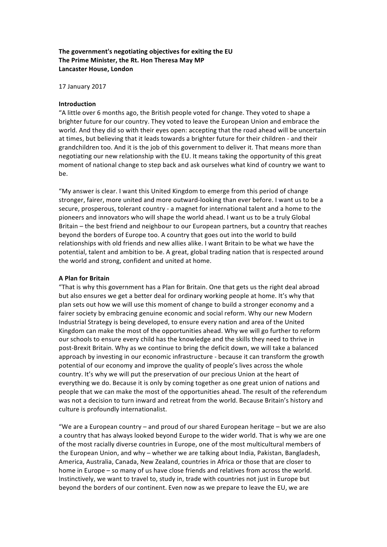# The government's negotiating objectives for exiting the EU The Prime Minister, the Rt. Hon Theresa May MP **Lancaster House, London**

17 January 2017

### **Introduction**

"A little over 6 months ago, the British people voted for change. They voted to shape a brighter future for our country. They voted to leave the European Union and embrace the world. And they did so with their eyes open: accepting that the road ahead will be uncertain at times, but believing that it leads towards a brighter future for their children - and their grandchildren too. And it is the job of this government to deliver it. That means more than negotiating our new relationship with the EU. It means taking the opportunity of this great moment of national change to step back and ask ourselves what kind of country we want to be.

"My answer is clear. I want this United Kingdom to emerge from this period of change stronger, fairer, more united and more outward-looking than ever before. I want us to be a secure, prosperous, tolerant country - a magnet for international talent and a home to the pioneers and innovators who will shape the world ahead. I want us to be a truly Global Britain – the best friend and neighbour to our European partners, but a country that reaches beyond the borders of Europe too. A country that goes out into the world to build relationships with old friends and new allies alike. I want Britain to be what we have the potential, talent and ambition to be. A great, global trading nation that is respected around the world and strong, confident and united at home.

# **A Plan for Britain**

"That is why this government has a Plan for Britain. One that gets us the right deal abroad but also ensures we get a better deal for ordinary working people at home. It's why that plan sets out how we will use this moment of change to build a stronger economy and a fairer society by embracing genuine economic and social reform. Why our new Modern Industrial Strategy is being developed, to ensure every nation and area of the United Kingdom can make the most of the opportunities ahead. Why we will go further to reform our schools to ensure every child has the knowledge and the skills they need to thrive in post-Brexit Britain. Why as we continue to bring the deficit down, we will take a balanced approach by investing in our economic infrastructure - because it can transform the growth potential of our economy and improve the quality of people's lives across the whole country. It's why we will put the preservation of our precious Union at the heart of everything we do. Because it is only by coming together as one great union of nations and people that we can make the most of the opportunities ahead. The result of the referendum was not a decision to turn inward and retreat from the world. Because Britain's history and culture is profoundly internationalist.

"We are a European country  $-$  and proud of our shared European heritage  $-$  but we are also a country that has always looked beyond Europe to the wider world. That is why we are one of the most racially diverse countries in Europe, one of the most multicultural members of the European Union, and why – whether we are talking about India, Pakistan, Bangladesh, America, Australia, Canada, New Zealand, countries in Africa or those that are closer to home in Europe – so many of us have close friends and relatives from across the world. Instinctively, we want to travel to, study in, trade with countries not just in Europe but beyond the borders of our continent. Even now as we prepare to leave the EU, we are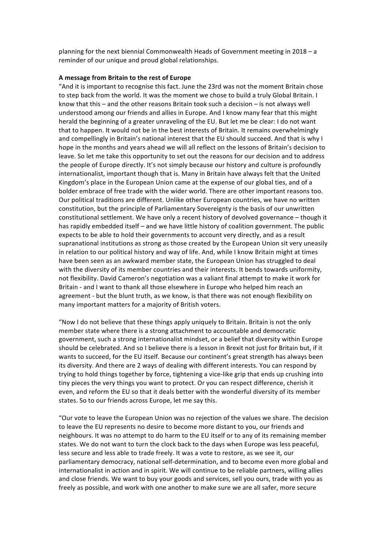planning for the next biennial Commonwealth Heads of Government meeting in 2018 - a reminder of our unique and proud global relationships.

#### **A message from Britain to the rest of Europe**

"And it is important to recognise this fact. June the 23rd was not the moment Britain chose to step back from the world. It was the moment we chose to build a truly Global Britain. I know that this  $-$  and the other reasons Britain took such a decision  $-$  is not always well understood among our friends and allies in Europe. And I know many fear that this might herald the beginning of a greater unraveling of the EU. But let me be clear: I do not want that to happen. It would not be in the best interests of Britain. It remains overwhelmingly and compellingly in Britain's national interest that the EU should succeed. And that is why I hope in the months and years ahead we will all reflect on the lessons of Britain's decision to leave. So let me take this opportunity to set out the reasons for our decision and to address the people of Europe directly. It's not simply because our history and culture is profoundly internationalist, important though that is. Many in Britain have always felt that the United Kingdom's place in the European Union came at the expense of our global ties, and of a bolder embrace of free trade with the wider world. There are other important reasons too. Our political traditions are different. Unlike other European countries, we have no written constitution, but the principle of Parliamentary Sovereignty is the basis of our unwritten constitutional settlement. We have only a recent history of devolved governance – though it has rapidly embedded itself – and we have little history of coalition government. The public expects to be able to hold their governments to account very directly, and as a result supranational institutions as strong as those created by the European Union sit very uneasily in relation to our political history and way of life. And, while I know Britain might at times have been seen as an awkward member state, the European Union has struggled to deal with the diversity of its member countries and their interests. It bends towards uniformity, not flexibility. David Cameron's negotiation was a valiant final attempt to make it work for Britain - and I want to thank all those elsewhere in Europe who helped him reach an agreement - but the blunt truth, as we know, is that there was not enough flexibility on many important matters for a majority of British voters.

"Now I do not believe that these things apply uniquely to Britain. Britain is not the only member state where there is a strong attachment to accountable and democratic government, such a strong internationalist mindset, or a belief that diversity within Europe should be celebrated. And so I believe there is a lesson in Brexit not just for Britain but, if it wants to succeed, for the EU itself. Because our continent's great strength has always been its diversity. And there are 2 ways of dealing with different interests. You can respond by trying to hold things together by force, tightening a vice-like grip that ends up crushing into tiny pieces the very things you want to protect. Or you can respect difference, cherish it even, and reform the EU so that it deals better with the wonderful diversity of its member states. So to our friends across Europe, let me say this.

"Our vote to leave the European Union was no rejection of the values we share. The decision to leave the EU represents no desire to become more distant to you, our friends and neighbours. It was no attempt to do harm to the EU itself or to any of its remaining member states. We do not want to turn the clock back to the days when Europe was less peaceful, less secure and less able to trade freely. It was a vote to restore, as we see it, our parliamentary democracy, national self-determination, and to become even more global and internationalist in action and in spirit. We will continue to be reliable partners, willing allies and close friends. We want to buy your goods and services, sell you ours, trade with you as freely as possible, and work with one another to make sure we are all safer, more secure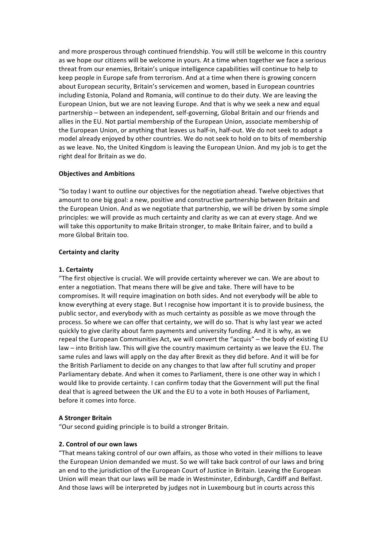and more prosperous through continued friendship. You will still be welcome in this country as we hope our citizens will be welcome in yours. At a time when together we face a serious threat from our enemies. Britain's unique intelligence capabilities will continue to help to keep people in Europe safe from terrorism. And at a time when there is growing concern about European security, Britain's servicemen and women, based in European countries including Estonia, Poland and Romania, will continue to do their duty. We are leaving the European Union, but we are not leaving Europe. And that is why we seek a new and equal partnership – between an independent, self-governing, Global Britain and our friends and allies in the EU. Not partial membership of the European Union, associate membership of the European Union, or anything that leaves us half-in, half-out. We do not seek to adopt a model already enjoyed by other countries. We do not seek to hold on to bits of membership as we leave. No, the United Kingdom is leaving the European Union. And my job is to get the right deal for Britain as we do.

# **Objectives and Ambitions**

"So today I want to outline our objectives for the negotiation ahead. Twelve objectives that amount to one big goal: a new, positive and constructive partnership between Britain and the European Union. And as we negotiate that partnership, we will be driven by some simple principles: we will provide as much certainty and clarity as we can at every stage. And we will take this opportunity to make Britain stronger, to make Britain fairer, and to build a more Global Britain too.

### **Certainty and clarity**

### **1. Certainty**

"The first objective is crucial. We will provide certainty wherever we can. We are about to enter a negotiation. That means there will be give and take. There will have to be compromises. It will require imagination on both sides. And not everybody will be able to know everything at every stage. But I recognise how important it is to provide business, the public sector, and everybody with as much certainty as possible as we move through the process. So where we can offer that certainty, we will do so. That is why last year we acted quickly to give clarity about farm payments and university funding. And it is why, as we repeal the European Communities Act, we will convert the "acquis" – the body of existing EU law – into British law. This will give the country maximum certainty as we leave the EU. The same rules and laws will apply on the day after Brexit as they did before. And it will be for the British Parliament to decide on any changes to that law after full scrutiny and proper Parliamentary debate. And when it comes to Parliament, there is one other way in which I would like to provide certainty. I can confirm today that the Government will put the final deal that is agreed between the UK and the EU to a vote in both Houses of Parliament, before it comes into force.

# **A Stronger Britain**

"Our second guiding principle is to build a stronger Britain.

# **2. Control of our own laws**

"That means taking control of our own affairs, as those who voted in their millions to leave the European Union demanded we must. So we will take back control of our laws and bring an end to the jurisdiction of the European Court of Justice in Britain. Leaving the European Union will mean that our laws will be made in Westminster, Edinburgh, Cardiff and Belfast. And those laws will be interpreted by judges not in Luxembourg but in courts across this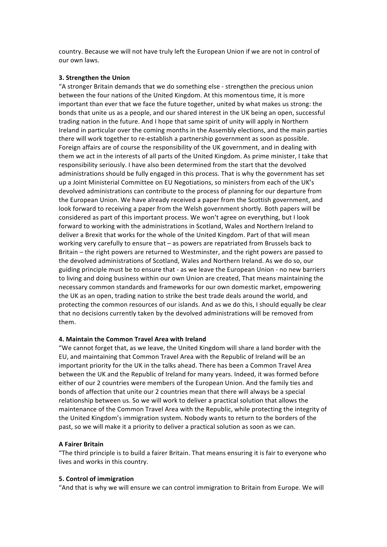country. Because we will not have truly left the European Union if we are not in control of our own laws.

### **3. Strengthen the Union**

"A stronger Britain demands that we do something else - strengthen the precious union between the four nations of the United Kingdom. At this momentous time, it is more important than ever that we face the future together, united by what makes us strong: the bonds that unite us as a people, and our shared interest in the UK being an open, successful trading nation in the future. And I hope that same spirit of unity will apply in Northern Ireland in particular over the coming months in the Assembly elections, and the main parties there will work together to re-establish a partnership government as soon as possible. Foreign affairs are of course the responsibility of the UK government, and in dealing with them we act in the interests of all parts of the United Kingdom. As prime minister, I take that responsibility seriously. I have also been determined from the start that the devolved administrations should be fully engaged in this process. That is why the government has set up a Joint Ministerial Committee on EU Negotiations, so ministers from each of the UK's devolved administrations can contribute to the process of planning for our departure from the European Union. We have already received a paper from the Scottish government, and look forward to receiving a paper from the Welsh government shortly. Both papers will be considered as part of this important process. We won't agree on everything, but I look forward to working with the administrations in Scotland, Wales and Northern Ireland to deliver a Brexit that works for the whole of the United Kingdom. Part of that will mean working very carefully to ensure that  $-$  as powers are repatriated from Brussels back to Britain – the right powers are returned to Westminster, and the right powers are passed to the devolved administrations of Scotland, Wales and Northern Ireland. As we do so, our guiding principle must be to ensure that - as we leave the European Union - no new barriers to living and doing business within our own Union are created, That means maintaining the necessary common standards and frameworks for our own domestic market, empowering the UK as an open, trading nation to strike the best trade deals around the world, and protecting the common resources of our islands. And as we do this, I should equally be clear that no decisions currently taken by the devolved administrations will be removed from them.

#### **4. Maintain the Common Travel Area with Ireland**

"We cannot forget that, as we leave, the United Kingdom will share a land border with the EU, and maintaining that Common Travel Area with the Republic of Ireland will be an important priority for the UK in the talks ahead. There has been a Common Travel Area between the UK and the Republic of Ireland for many years. Indeed, it was formed before either of our 2 countries were members of the European Union. And the family ties and bonds of affection that unite our 2 countries mean that there will always be a special relationship between us. So we will work to deliver a practical solution that allows the maintenance of the Common Travel Area with the Republic, while protecting the integrity of the United Kingdom's immigration system. Nobody wants to return to the borders of the past, so we will make it a priority to deliver a practical solution as soon as we can.

#### **A Fairer Britain**

"The third principle is to build a fairer Britain. That means ensuring it is fair to everyone who lives and works in this country.

#### **5. Control of immigration**

"And that is why we will ensure we can control immigration to Britain from Europe. We will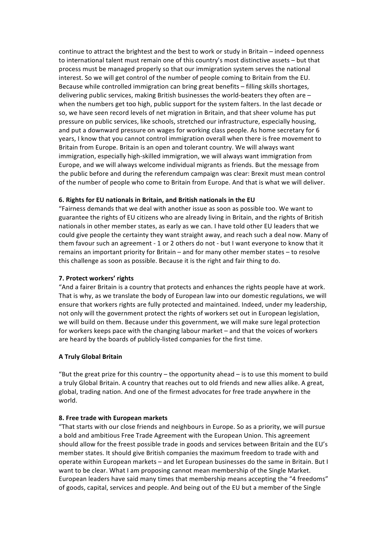continue to attract the brightest and the best to work or study in Britain – indeed openness to international talent must remain one of this country's most distinctive assets - but that process must be managed properly so that our immigration system serves the national interest. So we will get control of the number of people coming to Britain from the EU. Because while controlled immigration can bring great benefits - filling skills shortages, delivering public services, making British businesses the world-beaters they often are  $$ when the numbers get too high, public support for the system falters. In the last decade or so, we have seen record levels of net migration in Britain, and that sheer volume has put pressure on public services, like schools, stretched our infrastructure, especially housing, and put a downward pressure on wages for working class people. As home secretary for 6 years, I know that you cannot control immigration overall when there is free movement to Britain from Europe. Britain is an open and tolerant country. We will always want immigration, especially high-skilled immigration, we will always want immigration from Europe, and we will always welcome individual migrants as friends. But the message from the public before and during the referendum campaign was clear: Brexit must mean control of the number of people who come to Britain from Europe. And that is what we will deliver.

# **6. Rights for EU nationals in Britain, and British nationals in the EU**

"Fairness demands that we deal with another issue as soon as possible too. We want to guarantee the rights of EU citizens who are already living in Britain, and the rights of British nationals in other member states, as early as we can. I have told other EU leaders that we could give people the certainty they want straight away, and reach such a deal now. Many of them favour such an agreement - 1 or 2 others do not - but I want everyone to know that it remains an important priority for Britain – and for many other member states – to resolve this challenge as soon as possible. Because it is the right and fair thing to do.

# **7. Protect workers' rights**

"And a fairer Britain is a country that protects and enhances the rights people have at work. That is why, as we translate the body of European law into our domestic regulations, we will ensure that workers rights are fully protected and maintained. Indeed, under my leadership, not only will the government protect the rights of workers set out in European legislation, we will build on them. Because under this government, we will make sure legal protection for workers keeps pace with the changing labour market – and that the voices of workers are heard by the boards of publicly-listed companies for the first time.

# **A Truly Global Britain**

"But the great prize for this country – the opportunity ahead – is to use this moment to build a truly Global Britain. A country that reaches out to old friends and new allies alike. A great, global, trading nation. And one of the firmest advocates for free trade anywhere in the world.

# **8. Free trade with European markets**

"That starts with our close friends and neighbours in Europe. So as a priority, we will pursue a bold and ambitious Free Trade Agreement with the European Union. This agreement should allow for the freest possible trade in goods and services between Britain and the EU's member states. It should give British companies the maximum freedom to trade with and operate within European markets - and let European businesses do the same in Britain. But I want to be clear. What I am proposing cannot mean membership of the Single Market. European leaders have said many times that membership means accepting the "4 freedoms" of goods, capital, services and people. And being out of the EU but a member of the Single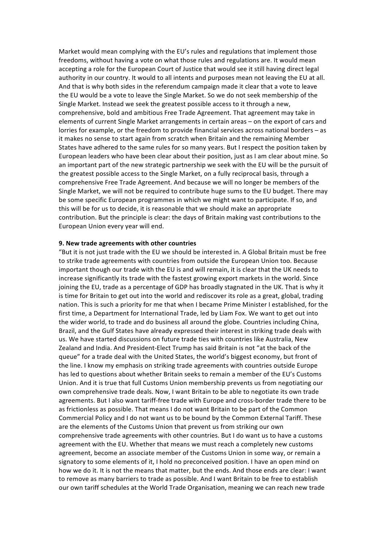Market would mean complying with the EU's rules and regulations that implement those freedoms, without having a vote on what those rules and regulations are. It would mean accepting a role for the European Court of Justice that would see it still having direct legal authority in our country. It would to all intents and purposes mean not leaving the EU at all. And that is why both sides in the referendum campaign made it clear that a vote to leave the EU would be a vote to leave the Single Market. So we do not seek membership of the Single Market. Instead we seek the greatest possible access to it through a new. comprehensive, bold and ambitious Free Trade Agreement. That agreement may take in elements of current Single Market arrangements in certain areas – on the export of cars and lorries for example, or the freedom to provide financial services across national borders - as it makes no sense to start again from scratch when Britain and the remaining Member States have adhered to the same rules for so many years. But I respect the position taken by European leaders who have been clear about their position, just as I am clear about mine. So an important part of the new strategic partnership we seek with the EU will be the pursuit of the greatest possible access to the Single Market, on a fully reciprocal basis, through a comprehensive Free Trade Agreement. And because we will no longer be members of the Single Market, we will not be required to contribute huge sums to the EU budget. There may be some specific European programmes in which we might want to participate. If so, and this will be for us to decide, it is reasonable that we should make an appropriate contribution. But the principle is clear: the days of Britain making vast contributions to the European Union every year will end.

#### **9. New trade agreements with other countries**

"But it is not just trade with the EU we should be interested in. A Global Britain must be free to strike trade agreements with countries from outside the European Union too. Because important though our trade with the EU is and will remain, it is clear that the UK needs to increase significantly its trade with the fastest growing export markets in the world. Since joining the EU, trade as a percentage of GDP has broadly stagnated in the UK. That is why it is time for Britain to get out into the world and rediscover its role as a great, global, trading nation. This is such a priority for me that when I became Prime Minister I established, for the first time, a Department for International Trade, led by Liam Fox. We want to get out into the wider world, to trade and do business all around the globe. Countries including China, Brazil, and the Gulf States have already expressed their interest in striking trade deals with us. We have started discussions on future trade ties with countries like Australia, New Zealand and India. And President-Elect Trump has said Britain is not "at the back of the queue" for a trade deal with the United States, the world's biggest economy, but front of the line. I know my emphasis on striking trade agreements with countries outside Europe has led to questions about whether Britain seeks to remain a member of the EU's Customs Union. And it is true that full Customs Union membership prevents us from negotiating our own comprehensive trade deals. Now, I want Britain to be able to negotiate its own trade agreements. But I also want tariff-free trade with Europe and cross-border trade there to be as frictionless as possible. That means I do not want Britain to be part of the Common Commercial Policy and I do not want us to be bound by the Common External Tariff. These are the elements of the Customs Union that prevent us from striking our own comprehensive trade agreements with other countries. But I do want us to have a customs agreement with the EU. Whether that means we must reach a completely new customs agreement, become an associate member of the Customs Union in some way, or remain a signatory to some elements of it, I hold no preconceived position. I have an open mind on how we do it. It is not the means that matter, but the ends. And those ends are clear: I want to remove as many barriers to trade as possible. And I want Britain to be free to establish our own tariff schedules at the World Trade Organisation, meaning we can reach new trade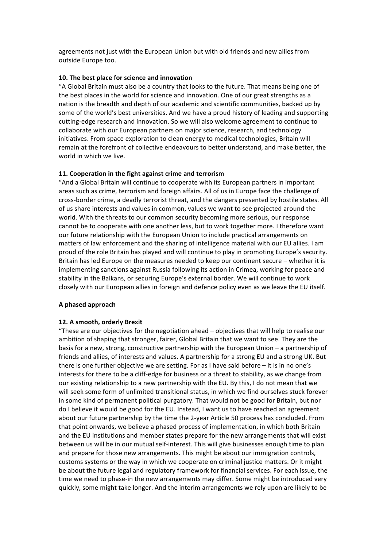agreements not just with the European Union but with old friends and new allies from outside Europe too.

### 10. The best place for science and innovation

"A Global Britain must also be a country that looks to the future. That means being one of the best places in the world for science and innovation. One of our great strengths as a nation is the breadth and depth of our academic and scientific communities, backed up by some of the world's best universities. And we have a proud history of leading and supporting cutting-edge research and innovation. So we will also welcome agreement to continue to collaborate with our European partners on major science, research, and technology initiatives. From space exploration to clean energy to medical technologies, Britain will remain at the forefront of collective endeavours to better understand, and make better, the world in which we live.

### 11. Cooperation in the fight against crime and terrorism

"And a Global Britain will continue to cooperate with its European partners in important areas such as crime, terrorism and foreign affairs. All of us in Europe face the challenge of cross-border crime, a deadly terrorist threat, and the dangers presented by hostile states. All of us share interests and values in common, values we want to see projected around the world. With the threats to our common security becoming more serious, our response cannot be to cooperate with one another less, but to work together more. I therefore want our future relationship with the European Union to include practical arrangements on matters of law enforcement and the sharing of intelligence material with our EU allies. I am proud of the role Britain has played and will continue to play in promoting Europe's security. Britain has led Europe on the measures needed to keep our continent secure – whether it is implementing sanctions against Russia following its action in Crimea, working for peace and stability in the Balkans, or securing Europe's external border. We will continue to work closely with our European allies in foreign and defence policy even as we leave the EU itself.

# **A phased approach**

#### 12. A smooth, orderly Brexit

"These are our objectives for the negotiation ahead – objectives that will help to realise our ambition of shaping that stronger, fairer, Global Britain that we want to see. They are the basis for a new, strong, constructive partnership with the European Union  $-$  a partnership of friends and allies, of interests and values. A partnership for a strong EU and a strong UK. But there is one further objective we are setting. For as I have said before – it is in no one's interests for there to be a cliff-edge for business or a threat to stability, as we change from our existing relationship to a new partnership with the EU. By this, I do not mean that we will seek some form of unlimited transitional status, in which we find ourselves stuck forever in some kind of permanent political purgatory. That would not be good for Britain, but nor do I believe it would be good for the EU. Instead, I want us to have reached an agreement about our future partnership by the time the 2-year Article 50 process has concluded. From that point onwards, we believe a phased process of implementation, in which both Britain and the EU institutions and member states prepare for the new arrangements that will exist between us will be in our mutual self-interest. This will give businesses enough time to plan and prepare for those new arrangements. This might be about our immigration controls, customs systems or the way in which we cooperate on criminal justice matters. Or it might be about the future legal and regulatory framework for financial services. For each issue, the time we need to phase-in the new arrangements may differ. Some might be introduced very quickly, some might take longer. And the interim arrangements we rely upon are likely to be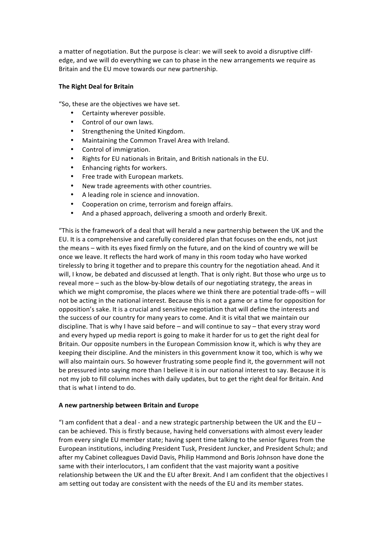a matter of negotiation. But the purpose is clear: we will seek to avoid a disruptive cliffedge, and we will do everything we can to phase in the new arrangements we require as Britain and the EU move towards our new partnership.

# **The Right Deal for Britain**

"So, these are the objectives we have set.

- Certainty wherever possible.
- Control of our own laws.
- Strengthening the United Kingdom.
- Maintaining the Common Travel Area with Ireland.
- Control of immigration.
- Rights for EU nationals in Britain, and British nationals in the EU.
- Enhancing rights for workers.
- Free trade with European markets.
- New trade agreements with other countries.
- A leading role in science and innovation.
- Cooperation on crime, terrorism and foreign affairs.
- And a phased approach, delivering a smooth and orderly Brexit.

"This is the framework of a deal that will herald a new partnership between the UK and the EU. It is a comprehensive and carefully considered plan that focuses on the ends, not just the means – with its eyes fixed firmly on the future, and on the kind of country we will be once we leave. It reflects the hard work of many in this room today who have worked tirelessly to bring it together and to prepare this country for the negotiation ahead. And it will, I know, be debated and discussed at length. That is only right. But those who urge us to reveal more – such as the blow-by-blow details of our negotiating strategy, the areas in which we might compromise, the places where we think there are potential trade-offs – will not be acting in the national interest. Because this is not a game or a time for opposition for opposition's sake. It is a crucial and sensitive negotiation that will define the interests and the success of our country for many years to come. And it is vital that we maintain our discipline. That is why I have said before  $-$  and will continue to say  $-$  that every stray word and every hyped up media report is going to make it harder for us to get the right deal for Britain. Our opposite numbers in the European Commission know it, which is why they are keeping their discipline. And the ministers in this government know it too, which is why we will also maintain ours. So however frustrating some people find it, the government will not be pressured into saying more than I believe it is in our national interest to say. Because it is not my job to fill column inches with daily updates, but to get the right deal for Britain. And that is what I intend to do.

# **A new partnership between Britain and Europe**

"I am confident that a deal - and a new strategic partnership between the UK and the  $EU$ can be achieved. This is firstly because, having held conversations with almost every leader from every single EU member state; having spent time talking to the senior figures from the European institutions, including President Tusk, President Juncker, and President Schulz; and after my Cabinet colleagues David Davis, Philip Hammond and Boris Johnson have done the same with their interlocutors, I am confident that the vast majority want a positive relationship between the UK and the EU after Brexit. And I am confident that the objectives I am setting out today are consistent with the needs of the EU and its member states.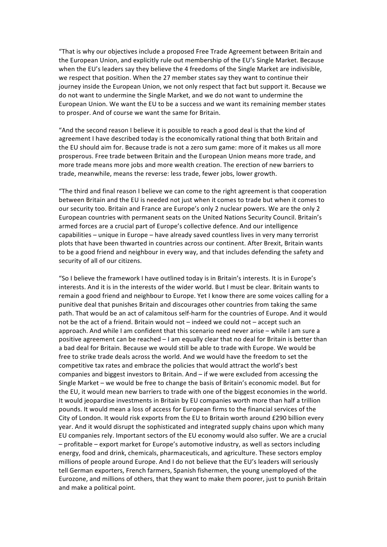"That is why our objectives include a proposed Free Trade Agreement between Britain and the European Union, and explicitly rule out membership of the EU's Single Market. Because when the EU's leaders say they believe the 4 freedoms of the Single Market are indivisible. we respect that position. When the 27 member states say they want to continue their journey inside the European Union, we not only respect that fact but support it. Because we do not want to undermine the Single Market, and we do not want to undermine the European Union. We want the EU to be a success and we want its remaining member states to prosper. And of course we want the same for Britain.

"And the second reason I believe it is possible to reach a good deal is that the kind of agreement I have described today is the economically rational thing that both Britain and the EU should aim for. Because trade is not a zero sum game: more of it makes us all more prosperous. Free trade between Britain and the European Union means more trade, and more trade means more jobs and more wealth creation. The erection of new barriers to trade, meanwhile, means the reverse: less trade, fewer jobs, lower growth.

"The third and final reason I believe we can come to the right agreement is that cooperation between Britain and the EU is needed not just when it comes to trade but when it comes to our security too. Britain and France are Europe's only 2 nuclear powers. We are the only 2 European countries with permanent seats on the United Nations Security Council. Britain's armed forces are a crucial part of Europe's collective defence. And our intelligence capabilities – unique in Europe – have already saved countless lives in very many terrorist plots that have been thwarted in countries across our continent. After Brexit, Britain wants to be a good friend and neighbour in every way, and that includes defending the safety and security of all of our citizens.

"So I believe the framework I have outlined today is in Britain's interests. It is in Europe's interests. And it is in the interests of the wider world. But I must be clear. Britain wants to remain a good friend and neighbour to Europe. Yet I know there are some voices calling for a punitive deal that punishes Britain and discourages other countries from taking the same path. That would be an act of calamitous self-harm for the countries of Europe. And it would not be the act of a friend. Britain would not – indeed we could not – accept such an approach. And while I am confident that this scenario need never arise – while I am sure a positive agreement can be reached  $-1$  am equally clear that no deal for Britain is better than a bad deal for Britain. Because we would still be able to trade with Europe. We would be free to strike trade deals across the world. And we would have the freedom to set the competitive tax rates and embrace the policies that would attract the world's best companies and biggest investors to Britain. And  $-$  if we were excluded from accessing the Single Market – we would be free to change the basis of Britain's economic model. But for the EU, it would mean new barriers to trade with one of the biggest economies in the world. It would jeopardise investments in Britain by EU companies worth more than half a trillion pounds. It would mean a loss of access for European firms to the financial services of the City of London. It would risk exports from the EU to Britain worth around £290 billion every year. And it would disrupt the sophisticated and integrated supply chains upon which many EU companies rely. Important sectors of the EU economy would also suffer. We are a crucial  $-$  profitable  $-$  export market for Europe's automotive industry, as well as sectors including energy, food and drink, chemicals, pharmaceuticals, and agriculture. These sectors employ millions of people around Europe. And I do not believe that the EU's leaders will seriously tell German exporters, French farmers, Spanish fishermen, the young unemployed of the Eurozone, and millions of others, that they want to make them poorer, just to punish Britain and make a political point.